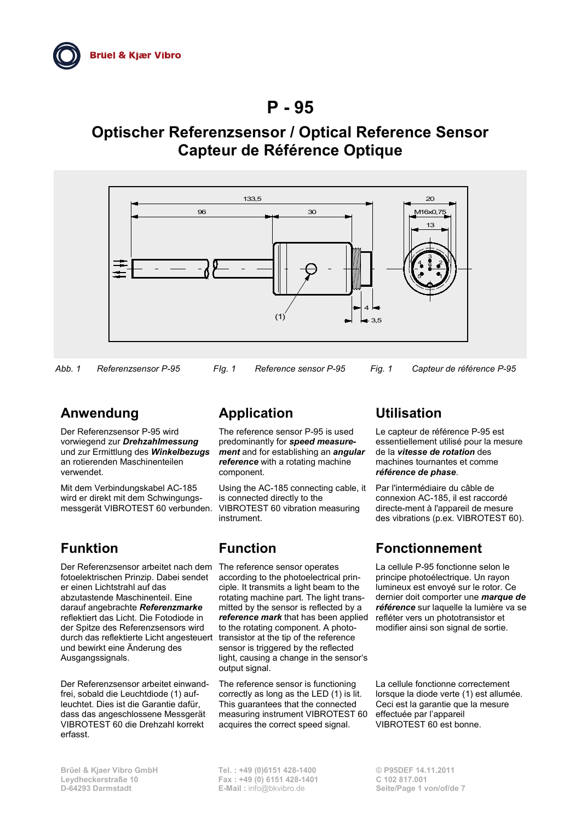# **Optischer Referenzsensor / Optical Reference Sensor Capteur de Référence Optique**



*Abb. 1 Referenzsensor P-95 FIg. 1 Reference sensor P-95 Fig. 1 Capteur de référence P-95*

# **Anwendung Application Utilisation**

Der Referenzsensor P-95 wird vorwiegend zur *Drehzahlmessung* und zur Ermittlung des *Winkelbezugs* an rotierenden Maschinenteilen verwendet.

Mit dem Verbindungskabel AC-185 wird er direkt mit dem Schwingungsmessgerät VIBROTEST 60 verbunden.

Der Referenzsensor arbeitet nach dem The reference sensor operates fotoelektrischen Prinzip. Dabei sendet er einen Lichtstrahl auf das abzutastende Maschinenteil. Eine darauf angebrachte *Referenzmarke* reflektiert das Licht. Die Fotodiode in der Spitze des Referenzsensors wird durch das reflektierte Licht angesteuert transistor at the tip of the reference und bewirkt eine Änderung des Ausgangssignals.

Der Referenzsensor arbeitet einwandfrei, sobald die Leuchtdiode (1) aufleuchtet. Dies ist die Garantie dafür, dass das angeschlossene Messgerät VIBROTEST 60 die Drehzahl korrekt erfasst.

The reference sensor P-95 is used predominantly for *speed measurement* and for establishing an *angular reference* with a rotating machine component.

Using the AC-185 connecting cable, it is connected directly to the VIBROTEST 60 vibration measuring instrument.

according to the photoelectrical principle. It transmits a light beam to the rotating machine part. The light transmitted by the sensor is reflected by a *reference mark* that has been applied to the rotating component. A photosensor is triggered by the reflected light, causing a change in the sensor's output signal.

The reference sensor is functioning correctly as long as the LED (1) is lit. This guarantees that the connected measuring instrument VIBROTEST 60 acquires the correct speed signal.

Le capteur de référence P-95 est essentiellement utilisé pour la mesure de la *vitesse de rotation* des machines tournantes et comme *référence de phase*.

Par l'intermédiaire du câble de connexion AC-185, il est raccordé directe-ment à l'appareil de mesure des vibrations (p.ex. VIBROTEST 60).

# **Funktion Function Fonctionnement**

La cellule P-95 fonctionne selon le principe photoélectrique. Un rayon lumineux est envoyé sur le rotor. Ce dernier doit comporter une *marque de référence* sur laquelle la lumière va se refléter vers un phototransistor et modifier ainsi son signal de sortie.

La cellule fonctionne correctement lorsque la diode verte (1) est allumée. Ceci est la garantie que la mesure effectuée par l'appareil VIBROTEST 60 est bonne.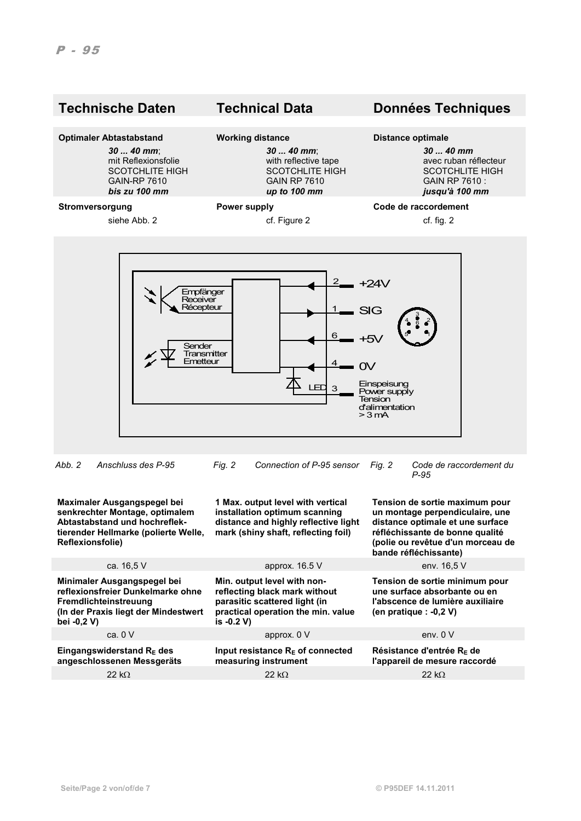

*Abb. 2 Anschluss des P-95 Fig. 2 Connection of P-95 sensor Fig. 2 Code de raccordement du* 

*P-95*

**Tension de sortie maximum pour un montage perpendiculaire, une** 

**Maximaler Ausgangspegel bei senkrechter Montage, optimalem Abtastabstand und hochreflektierender Hellmarke (polierte Welle, Reflexionsfolie)**

**1 Max. output level with vertical installation optimum scanning distance and highly reflective light** 

**mark (shiny shaft, reflecting foil) distance optimale et une surface réfléchissante de bonne qualité (polie ou revêtue d'un morceau de bande réfléchissante)** ca. 16,5 V approx. 16.5 V env. 16,5 V **Minimaler Ausgangspegel bei reflexionsfreier Dunkelmarke ohne Fremdlichteinstreuung (In der Praxis liegt der Mindestwert bei -0,2 V) Min. output level with nonreflecting black mark without parasitic scattered light (in practical operation the min. value is -0.2 V) Tension de sortie minimum pour une surface absorbante ou en l'abscence de lumière auxiliaire (en pratique : -0,2 V)** ca. 0 V approx. 0 V approx. 0 V and 0 V env. 0 V env. 0 V **Eingangswiderstand RE des angeschlossenen Messgeräts Input resistance RE of connected measuring instrument Résistance d'entrée RE de l'appareil de mesure raccordé**

22 kΩ  $22 \text{ k}\Omega$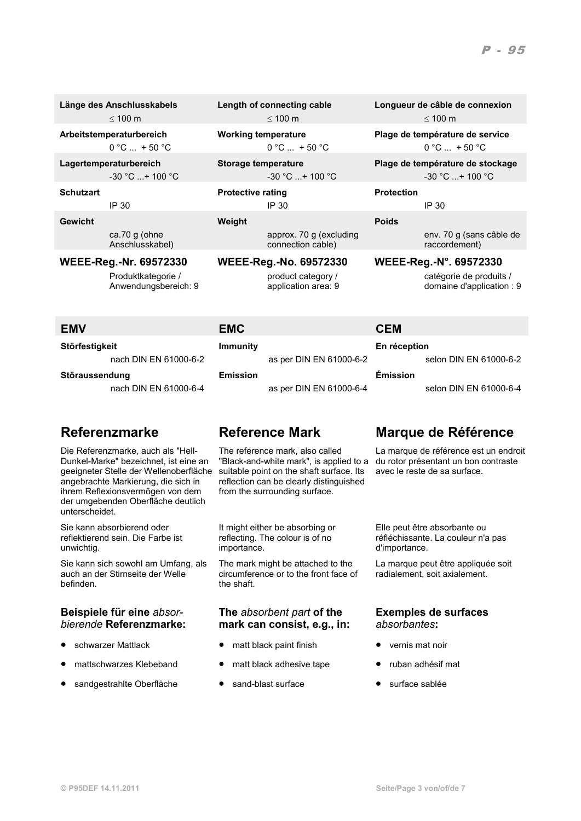**Arbeitstemperaturbereich Working temperature Plage de température de service**

ca.70 g (ohne

# Anschlusskabel)

Produktkategorie / Anwendungsbereich: 9

≤ 100 m  $\leq$  100 m  $\leq$  100 m  $\leq$  100 m  $\leq$  100 m

 $0^{\circ}$ C  $...$  + 50  $^{\circ}$ C  $0^{\circ}$ C  $+$  50  $^{\circ}$ C  $+$  50  $^{\circ}$ C  $+$  50  $^{\circ}$ C  $+$  50  $^{\circ}$ C  $-$ 

**Schutzart Protective rating Protection**

IP 30 IP 30 IP 30 **Gewicht Weight Poids**

approx. 70 g (excluding connection cable)

product category /

application area: 9

Lagertemperaturbereich **Storage temperature** Plage de température de stockage<br>C ...+ 100 °C -:+ 100 °C ---+ 100 °C ---+ 100 °C ---+ 100 °C ---+ 100 °C -30 °C ...+ 100 °C **-30 °C** ...+ 100 °C

env. 70 g (sans câble de raccordement)

#### **WEEE-Reg.-Nr. 69572330 WEEE-Reg.-No. 69572330 WEEE-Reg.-N°. 69572330**

catégorie de produits / domaine d'application : 9

**EMV EMC CEM**

**Störfestigkeit Immunity En réception** nach DIN EN 61000-6-2 as per DIN EN 61000-6-2 selon DIN EN 61000-6-2

**Störaussendung Emission Émission**

nach DIN EN 61000-6-4 as per DIN EN 61000-6-4 selon DIN EN 61000-6-4

Die Referenzmarke, auch als "Hell-Dunkel-Marke" bezeichnet, ist eine an geeigneter Stelle der Wellenoberfläche angebrachte Markierung, die sich in ihrem Reflexionsvermögen von dem der umgebenden Oberfläche deutlich unterscheidet.

Sie kann absorbierend oder reflektierend sein. Die Farbe ist unwichtig.

Sie kann sich sowohl am Umfang, als auch an der Stirnseite der Welle befinden.

### **Beispiele für eine** *absorbierende* **Referenzmarke:**

- 
- 
- sandgestrahlte Oberfläche sand-blast surface surface sablée

The reference mark, also called "Black-and-white mark", is applied to a suitable point on the shaft surface. Its reflection can be clearly distinguished from the surrounding surface.

It might either be absorbing or reflecting. The colour is of no importance.

The mark might be attached to the circumference or to the front face of the shaft.

### **The** *absorbent part* **of the mark can consist, e.g., in:**

- schwarzer Mattlack matt black paint finish vernis mat noir
- mattschwarzes Klebeband matt black adhesive tape ruban adhésif mat
	-

# **Referenzmarke Reference Mark Marque de Référence**

La marque de référence est un endroit du rotor présentant un bon contraste avec le reste de sa surface.

Elle peut être absorbante ou réfléchissante. La couleur n'a pas d'importance.

La marque peut être appliquée soit radialement, soit axialement.

### **Exemples de surfaces**  *absorbantes***:**

- 
- 
-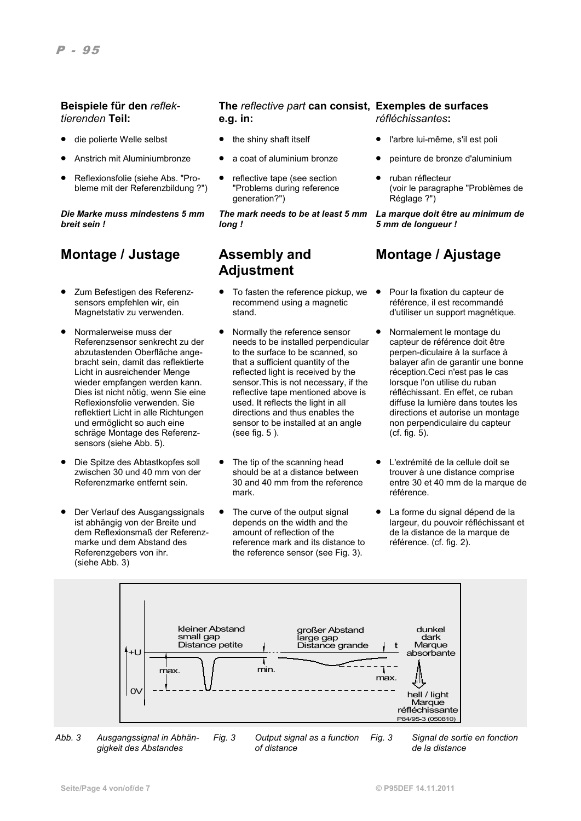### **Beispiele für den** *reflektierenden* **Teil:**

- 
- 
- Reflexionsfolie (siehe Abs. "Probleme mit der Referenzbildung ?")

*Die Marke muss mindestens 5 mm breit sein !*

# **Montage / Justage Assembly and**

- Zum Befestigen des Referenzsensors empfehlen wir, ein Magnetstativ zu verwenden.
- Normalerweise muss der Referenzsensor senkrecht zu der abzutastenden Oberfläche angebracht sein, damit das reflektierte Licht in ausreichender Menge wieder empfangen werden kann. Dies ist nicht nötig, wenn Sie eine Reflexionsfolie verwenden. Sie reflektiert Licht in alle Richtungen und ermöglicht so auch eine schräge Montage des Referenzsensors (siehe Abb. 5).
- Die Spitze des Abtastkopfes soll zwischen 30 und 40 mm von der Referenzmarke entfernt sein.
- Der Verlauf des Ausgangssignals ist abhängig von der Breite und dem Reflexionsmaß der Referenzmarke und dem Abstand des Referenzgebers von ihr. (siehe Abb. 3)

#### **The** *reflective part* **can consist, Exemples de surfaces e.g. in:** *réfléchissantes***:**

- 
- 
- reflective tape (see section "Problems during reference generation?")

*The mark needs to be at least 5 mm long !*

# **Adjustment**

- To fasten the reference pickup, we recommend using a magnetic stand.
- Normally the reference sensor needs to be installed perpendicular to the surface to be scanned, so that a sufficient quantity of the reflected light is received by the sensor.This is not necessary, if the reflective tape mentioned above is used. It reflects the light in all directions and thus enables the sensor to be installed at an angle (see fig. 5 ).
- The tip of the scanning head should be at a distance between 30 and 40 mm from the reference mark.
- The curve of the output signal depends on the width and the amount of reflection of the reference mark and its distance to the reference sensor (see Fig. 3).
- 
- die polierte Welle selbst the shiny shaft itself l'arbre lui-même, s'il est poli
- Anstrich mit Aluminiumbronze a coat of aluminium bronze peinture de bronze d'aluminium
	- ruban réflecteur (voir le paragraphe "Problèmes de Réglage ?")

*La marque doit être au minimum de 5 mm de longueur !*

# **Montage / Ajustage**

- Pour la fixation du capteur de référence, il est recommandé d'utiliser un support magnétique.
- Normalement le montage du capteur de référence doit être perpen-diculaire à la surface à balayer afin de garantir une bonne réception.Ceci n'est pas le cas lorsque l'on utilise du ruban réfléchissant. En effet, ce ruban diffuse la lumière dans toutes les directions et autorise un montage non perpendiculaire du capteur (cf. fig. 5).
- L'extrémité de la cellule doit se trouver à une distance comprise entre 30 et 40 mm de la marque de référence.
- La forme du signal dépend de la largeur, du pouvoir réfléchissant et de la distance de la marque de référence. (cf. fig. 2).



*Abb. 3 Ausgangssignal in Abhängigkeit des Abstandes*

*Fig. 3 Output signal as a function of distance*

*Fig. 3 Signal de sortie en fonction de la distance*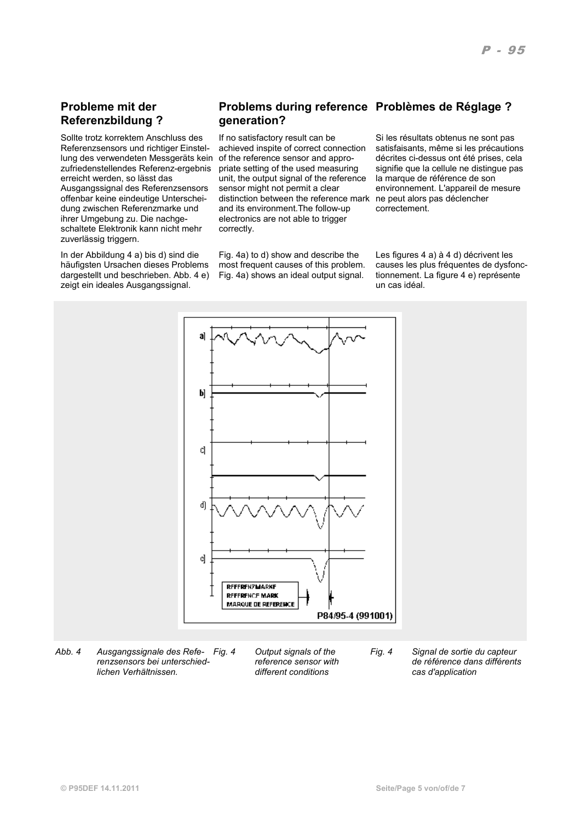### **Probleme mit der Referenzbildung ?**

Sollte trotz korrektem Anschluss des Referenzsensors und richtiger Einstellung des verwendeten Messgeräts kein zufriedenstellendes Referenz-ergebnis erreicht werden, so lässt das Ausgangssignal des Referenzsensors offenbar keine eindeutige Unterscheidung zwischen Referenzmarke und ihrer Umgebung zu. Die nachgeschaltete Elektronik kann nicht mehr zuverlässig triggern.

In der Abbildung 4 a) bis d) sind die häufigsten Ursachen dieses Problems dargestellt und beschrieben. Abb. 4 e) zeigt ein ideales Ausgangssignal.

### **Problems during reference Problèmes de Réglage ? generation?**

If no satisfactory result can be achieved inspite of correct connection of the reference sensor and appropriate setting of the used measuring unit, the output signal of the reference sensor might not permit a clear distinction between the reference mark and its environment.The follow-up electronics are not able to trigger correctly.

Fig. 4a) to d) show and describe the most frequent causes of this problem. Fig. 4a) shows an ideal output signal.

Si les résultats obtenus ne sont pas satisfaisants, même si les précautions décrites ci-dessus ont été prises, cela signifie que la cellule ne distingue pas la marque de référence de son environnement. L'appareil de mesure ne peut alors pas déclencher correctement.

Les figures 4 a) à 4 d) décrivent les causes les plus fréquentes de dysfonctionnement. La figure 4 e) représente un cas idéal.



*Abb. 4 Ausgangssignale des Referenzsensors bei unterschiedlichen Verhältnissen.*

*Output signals of the reference sensor with different conditions*

*Fig. 4 Signal de sortie du capteur de référence dans différents cas d'application*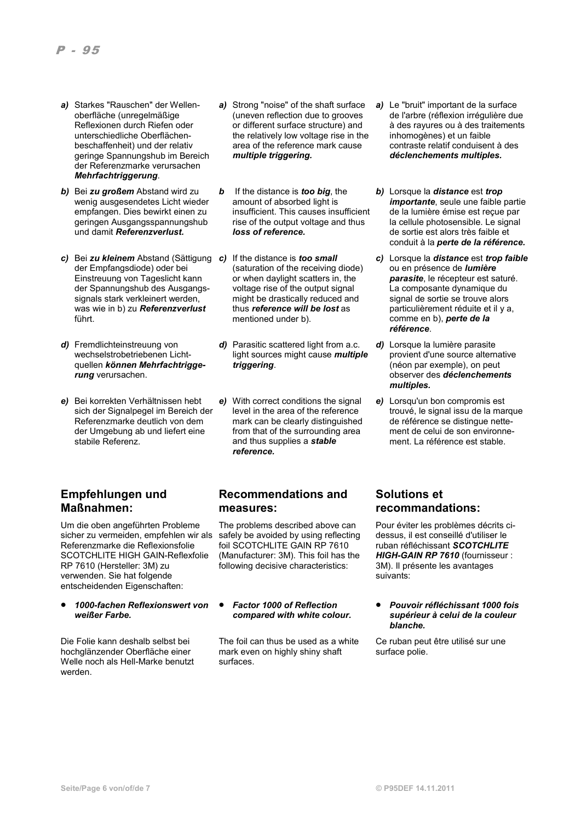- *a)* Starkes "Rauschen" der Wellenoberfläche (unregelmäßige Reflexionen durch Riefen oder unterschiedliche Oberflächenbeschaffenheit) und der relativ geringe Spannungshub im Bereich der Referenzmarke verursachen *Mehrfachtriggerung*.
- *b)* Bei *zu großem* Abstand wird zu wenig ausgesendetes Licht wieder empfangen. Dies bewirkt einen zu geringen Ausgangsspannungshub und damit *Referenzverlust.*
- *c)* Bei *zu kleinem* Abstand (Sättigung *c)* If the distance is *too small* der Empfangsdiode) oder bei Einstreuung von Tageslicht kann der Spannungshub des Ausgangssignals stark verkleinert werden, was wie in b) zu *Referenzverlust* führt.
- *d)* Fremdlichteinstreuung von wechselstrobetriebenen Lichtquellen *können Mehrfachtriggerung* verursachen.
- *e)* Bei korrekten Verhältnissen hebt sich der Signalpegel im Bereich der Referenzmarke deutlich von dem der Umgebung ab und liefert eine stabile Referenz.

### **Empfehlungen und Maßnahmen:**

Um die oben angeführten Probleme sicher zu vermeiden, empfehlen wir als Referenzmarke die Reflexionsfolie SCOTCHLITE HIGH GAIN-Reflexfolie RP 7610 (Hersteller: 3M) zu verwenden. Sie hat folgende entscheidenden Eigenschaften:

• *1000-fachen Reflexionswert von weißer Farbe.*

Die Folie kann deshalb selbst bei hochglänzender Oberfläche einer Welle noch als Hell-Marke benutzt werden.

- *a)* Strong "noise" of the shaft surface (uneven reflection due to grooves or different surface structure) and the relatively low voltage rise in the area of the reference mark cause *multiple triggering.*
- *b* If the distance is *too big*, the amount of absorbed light is insufficient. This causes insufficient rise of the output voltage and thus *loss of reference.*
- (saturation of the receiving diode) or when daylight scatters in, the voltage rise of the output signal might be drastically reduced and thus *reference will be lost* as mentioned under b).
- *d)* Parasitic scattered light from a.c. light sources might cause *multiple triggering*.
- *e)* With correct conditions the signal level in the area of the reference mark can be clearly distinguished from that of the surrounding area and thus supplies a *stable reference.*

### **Recommendations and measures:**

The problems described above can safely be avoided by using reflecting foil SCOTCHLITE GAIN RP 7610 (Manufacturer: 3M). This foil has the following decisive characteristics:

• *Factor 1000 of Reflection compared with white colour.*

The foil can thus be used as a white mark even on highly shiny shaft surfaces.

- *a)* Le "bruit" important de la surface de l'arbre (réflexion irrégulière due à des rayures ou à des traitements inhomogènes) et un faible contraste relatif conduisent à des *déclenchements multiples.*
- *b)* Lorsque la *distance* est *trop importante*, seule une faible partie de la lumière émise est reçue par la cellule photosensible. Le signal de sortie est alors très faible et conduit à la *perte de la référence.*
- *c)* Lorsque la *distance* est *trop faible* ou en présence de *lumière parasite*, le récepteur est saturé. La composante dynamique du signal de sortie se trouve alors particulièrement réduite et il y a, comme en b), *perte de la référence*.
- *d)* Lorsque la lumière parasite provient d'une source alternative (néon par exemple), on peut observer des *déclenchements multiples.*
- *e)* Lorsqu'un bon compromis est trouvé, le signal issu de la marque de référence se distingue nettement de celui de son environnement. La référence est stable.

### **Solutions et recommandations:**

Pour éviter les problèmes décrits cidessus, il est conseillé d'utiliser le ruban réfléchissant *SCOTCHLITE HIGH-GAIN RP 7610* (fournisseur : 3M). Il présente les avantages suivants:

• *Pouvoir réfléchissant 1000 fois supérieur à celui de la couleur blanche.*

Ce ruban peut être utilisé sur une surface polie.